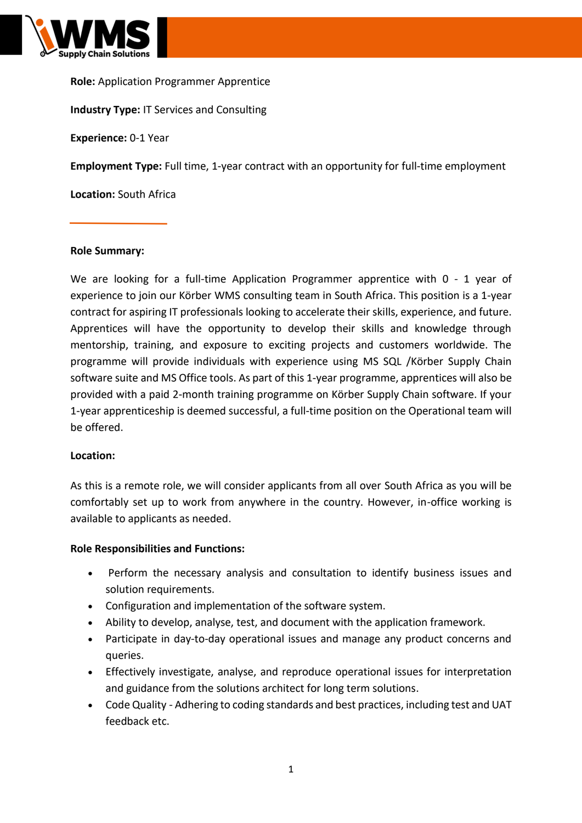

**Role:** Application Programmer Apprentice **Industry Type:** IT Services and Consulting **Experience:** 0-1 Year **Employment Type:** Full time, 1-year contract with an opportunity for full-time employment **Location:** South Africa

### **Role Summary:**

We are looking for a full-time Application Programmer apprentice with 0 - 1 year of experience to join our Körber WMS consulting team in South Africa. This position is a 1-year contract for aspiring IT professionals looking to accelerate their skills, experience, and future. Apprentices will have the opportunity to develop their skills and knowledge through mentorship, training, and exposure to exciting projects and customers worldwide. The programme will provide individuals with experience using MS SQL /Körber Supply Chain software suite and MS Office tools. As part of this 1-year programme, apprentices will also be provided with a paid 2-month training programme on Körber Supply Chain software. If your 1-year apprenticeship is deemed successful, a full-time position on the Operational team will be offered.

### **Location:**

As this is a remote role, we will consider applicants from all over South Africa as you will be comfortably set up to work from anywhere in the country. However, in-office working is available to applicants as needed.

### **Role Responsibilities and Functions:**

- Perform the necessary analysis and consultation to identify business issues and solution requirements.
- Configuration and implementation of the software system.
- Ability to develop, analyse, test, and document with the application framework.
- Participate in day-to-day operational issues and manage any product concerns and queries.
- Effectively investigate, analyse, and reproduce operational issues for interpretation and guidance from the solutions architect for long term solutions.
- Code Quality Adhering to coding standards and best practices, including test and UAT feedback etc.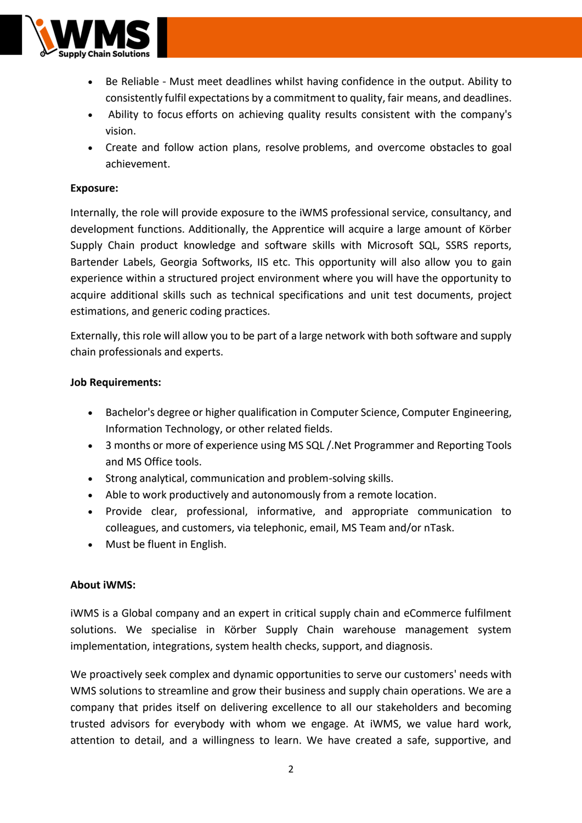

- Be Reliable Must meet deadlines whilst having confidence in the output. Ability to consistently fulfil expectations by a commitment to quality, fair means, and deadlines.
- Ability to focus efforts on achieving quality results consistent with the company's vision.
- Create and follow action plans, resolve problems, and overcome obstacles to goal achievement.

### **Exposure:**

Internally, the role will provide exposure to the iWMS professional service, consultancy, and development functions. Additionally, the Apprentice will acquire a large amount of Körber Supply Chain product knowledge and software skills with Microsoft SQL, SSRS reports, Bartender Labels, Georgia Softworks, IIS etc. This opportunity will also allow you to gain experience within a structured project environment where you will have the opportunity to acquire additional skills such as technical specifications and unit test documents, project estimations, and generic coding practices.

Externally, this role will allow you to be part of a large network with both software and supply chain professionals and experts.

### **Job Requirements:**

- Bachelor's degree or higher qualification in Computer Science, Computer Engineering, Information Technology, or other related fields.
- 3 months or more of experience using MS SQL /.Net Programmer and Reporting Tools and MS Office tools.
- Strong analytical, communication and problem-solving skills.
- Able to work productively and autonomously from a remote location.
- Provide clear, professional, informative, and appropriate communication to colleagues, and customers, via telephonic, email, MS Team and/or nTask.
- Must be fluent in English.

# **About iWMS:**

iWMS is a Global company and an expert in critical supply chain and eCommerce fulfilment solutions. We specialise in Körber Supply Chain warehouse management system implementation, integrations, system health checks, support, and diagnosis.

We proactively seek complex and dynamic opportunities to serve our customers' needs with WMS solutions to streamline and grow their business and supply chain operations. We are a company that prides itself on delivering excellence to all our stakeholders and becoming trusted advisors for everybody with whom we engage. At iWMS, we value hard work, attention to detail, and a willingness to learn. We have created a safe, supportive, and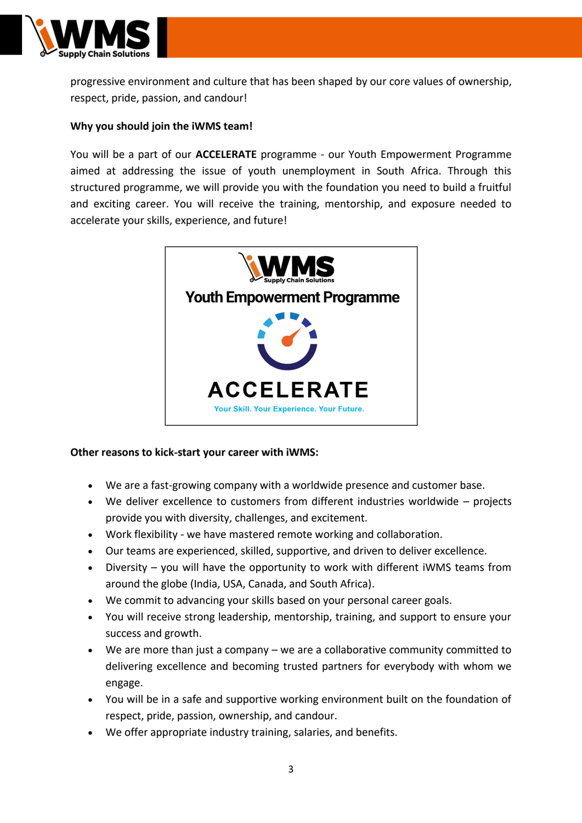

progressive environment and culture that has been shaped by our core values of ownership, respect, pride, passion, and candour!

## **Why you should join the iWMS team!**

You will be a part of our **ACCELERATE** programme - our Youth Empowerment Programme aimed at addressing the issue of youth unemployment in South Africa. Through this structured programme, we will provide you with the foundation you need to build a fruitful and exciting career. You will receive the training, mentorship, and exposure needed to accelerate your skills, experience, and future!



### **Other reasons to kick-start your career with iWMS:**

- We are a fast-growing company with a worldwide presence and customer base.
- We deliver excellence to customers from different industries worldwide projects provide you with diversity, challenges, and excitement.
- Work flexibility we have mastered remote working and collaboration.
- Our teams are experienced, skilled, supportive, and driven to deliver excellence.
- Diversity you will have the opportunity to work with different iWMS teams from around the globe (India, USA, Canada, and South Africa).
- We commit to advancing your skills based on your personal career goals.
- You will receive strong leadership, mentorship, training, and support to ensure your success and growth.
- We are more than just a company we are a collaborative community committed to delivering excellence and becoming trusted partners for everybody with whom we engage.
- You will be in a safe and supportive working environment built on the foundation of respect, pride, passion, ownership, and candour.
- We offer appropriate industry training, salaries, and benefits.